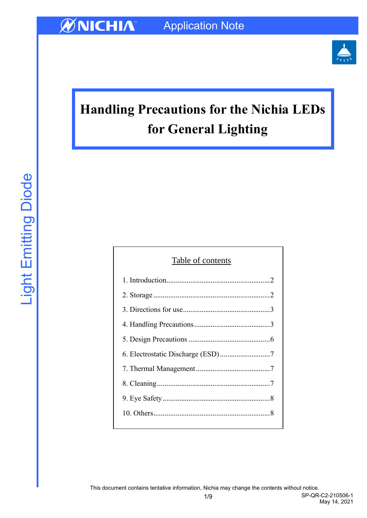

# **Handling Precautions for the Nichia LEDs for General Lighting**

| Table of contents |  |  |  |  |
|-------------------|--|--|--|--|
|                   |  |  |  |  |
|                   |  |  |  |  |
|                   |  |  |  |  |
|                   |  |  |  |  |
|                   |  |  |  |  |
|                   |  |  |  |  |
|                   |  |  |  |  |
|                   |  |  |  |  |
|                   |  |  |  |  |
|                   |  |  |  |  |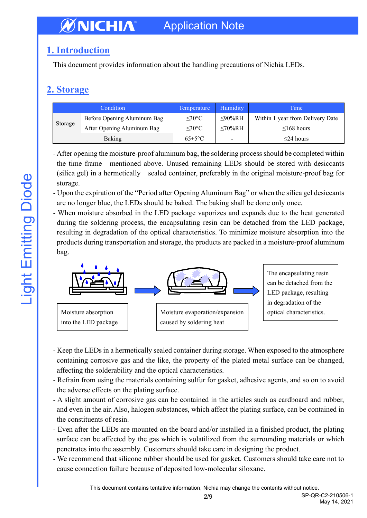## <span id="page-1-0"></span>**1. Introduction**

This document provides information about the handling precautions of Nichia LEDs.

# <span id="page-1-1"></span>**2. Storage**

| Condition |                             | Temperature         | Humidity       | Time                             |
|-----------|-----------------------------|---------------------|----------------|----------------------------------|
| Storage   | Before Opening Aluminum Bag | $\leq 30^{\circ}$ C | $\leq 90\%$ RH | Within 1 year from Delivery Date |
|           | After Opening Aluminum Bag  | $\leq 30^{\circ}$ C | $<70\%RH$      | $\leq$ 168 hours                 |
| Baking    |                             | $65 \pm 5$ °C       | -              | $\leq$ 24 hours                  |

- After opening the moisture-proof aluminum bag, the soldering process should be completed within the time frame mentioned above. Unused remaining LEDs should be stored with desiccants (silica gel) in a hermetically sealed container, preferably in the original moisture-proof bag for storage.

- Upon the expiration of the "Period after Opening Aluminum Bag" or when the silica gel desiccants are no longer blue, the LEDs should be baked. The baking shall be done only once.

- When moisture absorbed in the LED package vaporizes and expands due to the heat generated during the soldering process, the encapsulating resin can be detached from the LED package, resulting in degradation of the optical characteristics. To minimize moisture absorption into the products during transportation and storage, the products are packed in a moisture-proof aluminum bag.



Moisture absorption into the LED package

Moisture evaporation/expansion caused by soldering heat

The encapsulating resin can be detached from the LED package, resulting in degradation of the optical characteristics.

- Keep the LEDs in a hermetically sealed container during storage. When exposed to the atmosphere containing corrosive gas and the like, the property of the plated metal surface can be changed, affecting the solderability and the optical characteristics.
- Refrain from using the materials containing sulfur for gasket, adhesive agents, and so on to avoid the adverse effects on the plating surface.
- A slight amount of corrosive gas can be contained in the articles such as cardboard and rubber, and even in the air. Also, halogen substances, which affect the plating surface, can be contained in the constituents of resin.
- Even after the LEDs are mounted on the board and/or installed in a finished product, the plating surface can be affected by the gas which is volatilized from the surrounding materials or which penetrates into the assembly. Customers should take care in designing the product.
- We recommend that silicone rubber should be used for gasket. Customers should take care not to cause connection failure because of deposited low-molecular siloxane.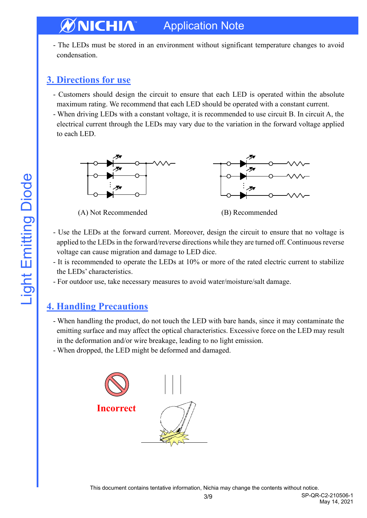- The LEDs must be stored in an environment without significant temperature changes to avoid condensation.

### <span id="page-2-0"></span>**3. Directions for use**

- Customers should design the circuit to ensure that each LED is operated within the absolute maximum rating. We recommend that each LED should be operated with a constant current.
- When driving LEDs with a constant voltage, it is recommended to use circuit B. In circuit A, the electrical current through the LEDs may vary due to the variation in the forward voltage applied to each LED.



(A) Not Recommended (B) Recommended

- Use the LEDs at the forward current. Moreover, design the circuit to ensure that no voltage is applied to the LEDs in the forward/reverse directions while they are turned off. Continuous reverse voltage can cause migration and damage to LED dice.
- It is recommended to operate the LEDs at 10% or more of the rated electric current to stabilize the LEDs' characteristics.
- For outdoor use, take necessary measures to avoid water/moisture/salt damage.

### <span id="page-2-1"></span>**4. Handling Precautions**

- When handling the product, do not touch the LED with bare hands, since it may contaminate the emitting surface and may affect the optical characteristics. Excessive force on the LED may result in the deformation and/or wire breakage, leading to no light emission.
- When dropped, the LED might be deformed and damaged.

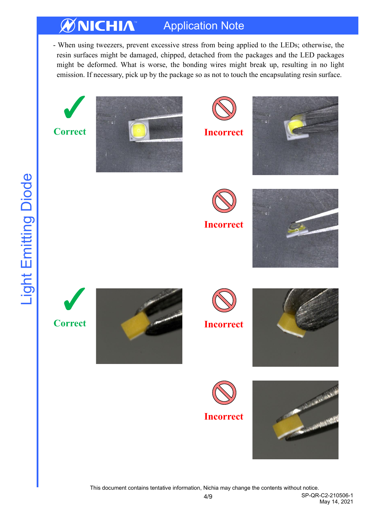- When using tweezers, prevent excessive stress from being applied to the LEDs; otherwise, the resin surfaces might be damaged, chipped, detached from the packages and the LED packages might be deformed. What is worse, the bonding wires might break up, resulting in no light emission. If necessary, pick up by the package so as not to touch the encapsulating resin surface.



This document contains tentative information, Nichia may change the contents without notice.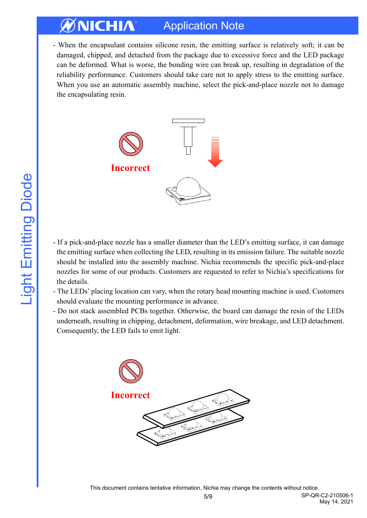- When the encapsulant contains silicone resin, the emitting surface is relatively soft; it can be damaged, chipped, and detached from the package due to excessive force and the LED package can be deformed. What is worse, the bonding wire can break up, resulting in degradation of the reliability performance. Customers should take care not to apply stress to the emitting surface. When you use an automatic assembly machine, select the pick-and-place nozzle not to damage the encapsulating resin.



- If a pick-and-place nozzle has a smaller diameter than the LED's emitting surface, it can damage the emitting surface when collecting the LED, resulting in its emission failure. The suitable nozzle should be installed into the assembly machine. Nichia recommends the specific pick-and-place nozzles for some of our products. Customers are requested to refer to Nichia's specifications for the details.
- The LEDs' placing location can vary, when the rotary head mounting machine is used. Customers should evaluate the mounting performance in advance.
- Do not stack assembled PCBs together. Otherwise, the board can damage the resin of the LEDs underneath, resulting in chipping, detachment, deformation, wire breakage, and LED detachment. Consequently, the LED fails to emit light.

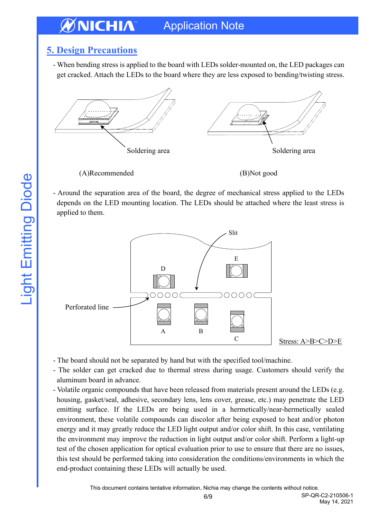### <span id="page-5-0"></span>**5. Design Precautions**

- When bending stress is applied to the board with LEDs solder-mounted on, the LED packages can get cracked. Attach the LEDs to the board where they are less exposed to bending/twisting stress.



(A)Recommended (B)Not good

- Around the separation area of the board, the degree of mechanical stress applied to the LEDs depends on the LED mounting location. The LEDs should be attached where the least stress is applied to them.



- The board should not be separated by hand but with the specified tool/machine.
- The solder can get cracked due to thermal stress during usage. Customers should verify the aluminum board in advance.
- Volatile organic compounds that have been released from materials present around the LEDs (e.g. housing, gasket/seal, adhesive, secondary lens, lens cover, grease, etc.) may penetrate the LED emitting surface. If the LEDs are being used in a hermetically/near-hermetically sealed environment, these volatile compounds can discolor after being exposed to heat and/or photon energy and it may greatly reduce the LED light output and/or color shift. In this case, ventilating the environment may improve the reduction in light output and/or color shift. Perform a light-up test of the chosen application for optical evaluation prior to use to ensure that there are no issues, this test should be performed taking into consideration the conditions/environments in which the end-product containing these LEDs will actually be used.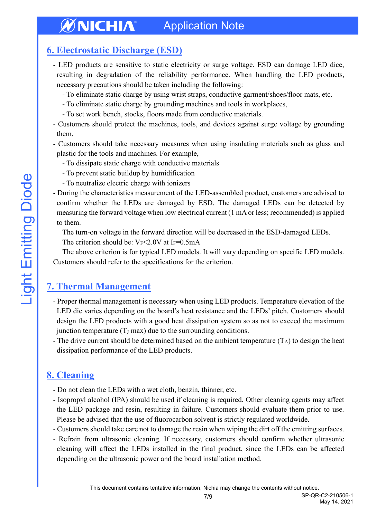### <span id="page-6-0"></span>**6. Electrostatic Discharge (ESD)**

- LED products are sensitive to static electricity or surge voltage. ESD can damage LED dice, resulting in degradation of the reliability performance. When handling the LED products, necessary precautions should be taken including the following:
	- To eliminate static charge by using wrist straps, conductive garment/shoes/floor mats, etc.
	- To eliminate static charge by grounding machines and tools in workplaces,
	- To set work bench, stocks, floors made from conductive materials.
- Customers should protect the machines, tools, and devices against surge voltage by grounding them.
- Customers should take necessary measures when using insulating materials such as glass and plastic for the tools and machines. For example,
	- To dissipate static charge with conductive materials
	- To prevent static buildup by humidification
	- To neutralize electric charge with ionizers
- During the characteristics measurement of the LED-assembled product, customers are advised to confirm whether the LEDs are damaged by ESD. The damaged LEDs can be detected by measuring the forward voltage when low electrical current (1 mA or less; recommended) is applied to them.

The turn-on voltage in the forward direction will be decreased in the ESD-damaged LEDs.

The criterion should be:  $V_F \le 2.0V$  at I<sub>F</sub>=0.5mA

The above criterion is for typical LED models. It will vary depending on specific LED models. Customers should refer to the specifications for the criterion.

# <span id="page-6-1"></span>**7. Thermal Management**

- Proper thermal management is necessary when using LED products. Temperature elevation of the LED die varies depending on the board's heat resistance and the LEDs' pitch. Customers should design the LED products with a good heat dissipation system so as not to exceed the maximum junction temperature  $(T_J \text{ max})$  due to the surrounding conditions.
- The drive current should be determined based on the ambient temperature  $(T_A)$  to design the heat dissipation performance of the LED products.

### <span id="page-6-2"></span>**8. Cleaning**

- Do not clean the LEDs with a wet cloth, benzin, thinner, etc.
- Isopropyl alcohol (IPA) should be used if cleaning is required. Other cleaning agents may affect the LED package and resin, resulting in failure. Customers should evaluate them prior to use. Please be advised that the use of fluorocarbon solvent is strictly regulated worldwide.
- Customers should take care not to damage the resin when wiping the dirt off the emitting surfaces.
- Refrain from ultrasonic cleaning. If necessary, customers should confirm whether ultrasonic cleaning will affect the LEDs installed in the final product, since the LEDs can be affected depending on the ultrasonic power and the board installation method.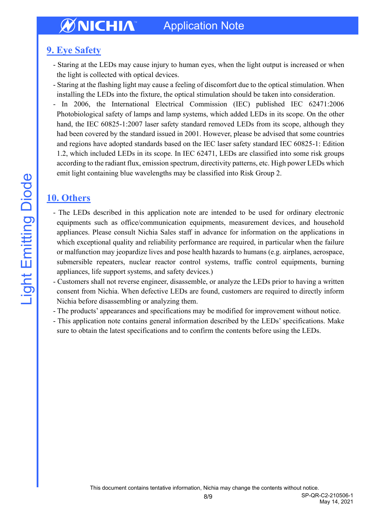## <span id="page-7-0"></span>**9. Eye Safety**

- Staring at the LEDs may cause injury to human eyes, when the light output is increased or when the light is collected with optical devices.
- Staring at the flashing light may cause a feeling of discomfort due to the optical stimulation. When installing the LEDs into the fixture, the optical stimulation should be taken into consideration.

- In 2006, the International Electrical Commission (IEC) published IEC 62471:2006 Photobiological safety of lamps and lamp systems, which added LEDs in its scope. On the other hand, the IEC 60825-1:2007 laser safety standard removed LEDs from its scope, although they had been covered by the standard issued in 2001. However, please be advised that some countries and regions have adopted standards based on the IEC laser safety standard IEC 60825-1: Edition 1.2, which included LEDs in its scope. In IEC 62471, LEDs are classified into some risk groups according to the radiant flux, emission spectrum, directivity patterns, etc. High power LEDs which emit light containing blue wavelengths may be classified into Risk Group 2.

### <span id="page-7-1"></span>**10. Others**

- The LEDs described in this application note are intended to be used for ordinary electronic equipments such as office/communication equipments, measurement devices, and household appliances. Please consult Nichia Sales staff in advance for information on the applications in which exceptional quality and reliability performance are required, in particular when the failure or malfunction may jeopardize lives and pose health hazards to humans (e.g. airplanes, aerospace, submersible repeaters, nuclear reactor control systems, traffic control equipments, burning appliances, life support systems, and safety devices.)
- Customers shall not reverse engineer, disassemble, or analyze the LEDs prior to having a written consent from Nichia. When defective LEDs are found, customers are required to directly inform Nichia before disassembling or analyzing them.
- The products' appearances and specifications may be modified for improvement without notice.
- This application note contains general information described by the LEDs' specifications. Make sure to obtain the latest specifications and to confirm the contents before using the LEDs.

May 14, 2021